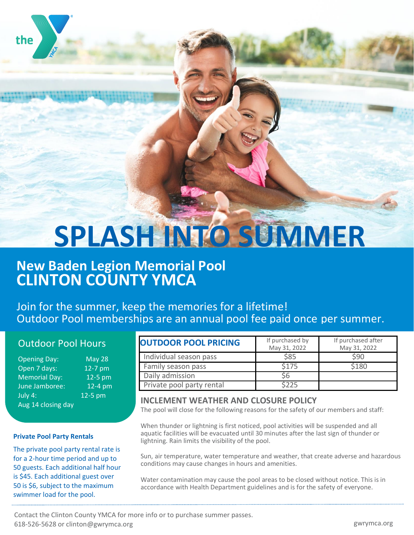# **SPLASH INTO SUMMER**

## **New Baden Legion Memorial Pool CLINTON COUNTY YMCA**

Join for the summer, keep the memories for a lifetime! Outdoor Pool memberships are an annual pool fee paid once per summer.

## Outdoor Pool Hours

| <b>Opening Day:</b>  | <b>May 28</b> |
|----------------------|---------------|
| Open 7 days:         | 12-7 pm       |
| <b>Memorial Day:</b> | $12-5$ pm     |
| June Jamboree:       | $12-4$ pm     |
| July 4:              | 12-5 pm       |
| Aug 14 closing day   |               |

#### **Private Pool Party Rentals**

capacity.

the

The private pool party rental rate is for a 2-hour time period and up to 50 guests. Each additional half hour is \$45. Each additional guest over 50 is \$6, subject to the maximum swimmer load for the pool.

| <b>OUTDOOR POOL PRICING</b> | If purchased by<br>May 31, 2022 | If purchased after<br>May 31, 2022 |
|-----------------------------|---------------------------------|------------------------------------|
| Individual season pass      | \$85                            | \$90                               |
| Family season pass          | \$175                           | \$180                              |
| Daily admission             | 56                              |                                    |
| Private pool party rental   | \$225                           |                                    |
|                             |                                 |                                    |

### **INCLEMENT WEATHER AND CLOSURE POLICY**

The pool will close for the following reasons for the safety of our members and staff:

When thunder or lightning is first noticed, pool activities will be suspended and all aquatic facilities will be evacuated until 30 minutes after the last sign of thunder or lightning. Rain limits the visibility of the pool.

Sun, air temperature, water temperature and weather, that create adverse and hazardous conditions may cause changes in hours and amenities.

Water contamination may cause the pool areas to be closed without notice. This is in accordance with Health Department guidelines and is for the safety of everyone.

Contact the Clinton County YMCA for more info or to purchase summer passes. 618-526-5628 or clinton@gwrymca.org gwrymca.org